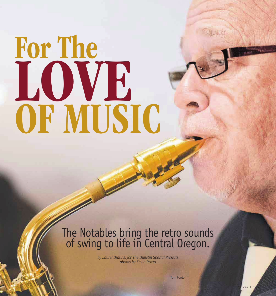## For The OF MUSIC LOVE

## The Notables bring the retro sounds of swing to life in Central Oregon.

*by Laurel Brauns, for The Bulletin Special Projects photos by Kevin Prieto*

Tom Foote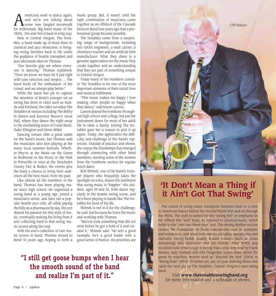**AMERICANS** mericans want to dance again,<br>
some new fangled moonwalk<br>
for millennials, Big band music of the and we're not talking about for millennials. Big band music of the 1920s, '30s and '40s is back in a big way.

Here in Central Oregon, The Notables, a band made up of more than 20 classical and jazz musicians, is bringing swing favorites back to life under the guidance of Seattle transplant and jazz aficionado Marvin Thomas.

"Our favorite gigs are where everyone is dancing," Thomas explained. "Then we know we have hit it just right with tune selection and tempos … The band feeds off the enthusiasm of the crowd, and we always play better."

While the band has yet to capture the attention of Bend's younger set as swing has done in cities such as Seattle and Portland, the older set enjoy The Notables at venues including The Belfry in Sisters and Sunriver Resort's Great Hall, where they dance the night away to the enchanting notes of Count Basie, Duke Ellington and Glenn Miller.

Dancing venues offer a great outlet for the band's music, but Thomas said the musicians also love playing at the many local summer festivals. Whether they're at the Music on the Green in Redmond or the Picnic in the Park in Prineville or even at the Deschutes County Fair & Rodeo, the events give the band a chance to bring their audiences all the best music from the past.

Like almost all the members of the band, Thomas has been playing music since high school. He organized a swing band at a young age, joined a musician's union, and later ran a popular Seattle jazz club, all while paying the bills as a pharmacist by day. His son shared his passion for this style of music, eventually making his living from it and collecting hard-to-find swing music scores along the way.

With his son's collection of rare music scores in hand, Thomas moved to Bend 10 years ago, hoping to form a

music group. But, it wasn't until the right combination of musicians came together as an offshoot of the Cascade Horizon Band four years ago that a professional group became possible.

The Notables come from a surprising range of backgrounds, including two NASA engineers, a mail carrier, a chemistry teacher and an artificial limb manufacturer. What they share is a genuine appreciation for the music they create together and an understanding that they are part of something unique to Central Oregon.

Today many of the members consider The Notables to be one of the most important elements of their social lives and musical fulfillment.

"This music makes me happy. I love making other people so happy when they dance," said Karen Larson.

Larson played the trombone throughout high school and college, but put the instrument down for most of her adult life to raise a family. Joining The Notables gave her a reason to pick it up again. Today, she appreciates the difficulty and challenge of the band's repertoire. Outside of practice and shows, she enjoys the friendships that emerged through connecting with other band members, meeting some of the women from the trombone section for regular lunch dates.

Bob Shimek, one of the band's trumpet players who frequently takes the spotlight on solos, shares the sentiment that swing music is "happier." His children, ages 29 and 32, both dance regularly in the Seattle swing scene, and he's been playing in bands like The Notables for most of his life.

Shimek is not in it for the challenge, he said, but because he loves the music and working with Thomas.

"Marvin took something that did not exist before he got a hold of it and created it," Shimek said. "He sets a good example; he's a good leader with a good sense of humor. His priorities are

## **"I still get goose bumps when I hear the smooth sound of the band and realize I'm part of it."**



Cliff Robison

The sound of swing music transports listeners back to a time in American history before the Second World War and on through the 1950s. The style is named for the "swing feel" or emphasis on the offbeat (the "and" beat), as opposed to classical music, which holds to the "one-two-three-four" feel. The strong rhythm section creates the foundation for brass instruments such as trumpets and trombones, and wind instruments including saxophones and clarinets. Swing bands usually feature soloists (such as Louis Armstrong) who improvise over the melody. After WWII, pop vocalists took center stage in swing music and were lead by Frank Sinatra, Judy Garland and Ella Fitzgerald. Learn more about the genre by watching movies such as "Beyond the Sea" (2004) or "Swing Kids" (1993). Or better yet, put on your dancing shoes and catch the next gig by The Notables, Central Oregon's own swing band.

Visit **www.thenotablesswingband.org** for more information and a schedule of shows.